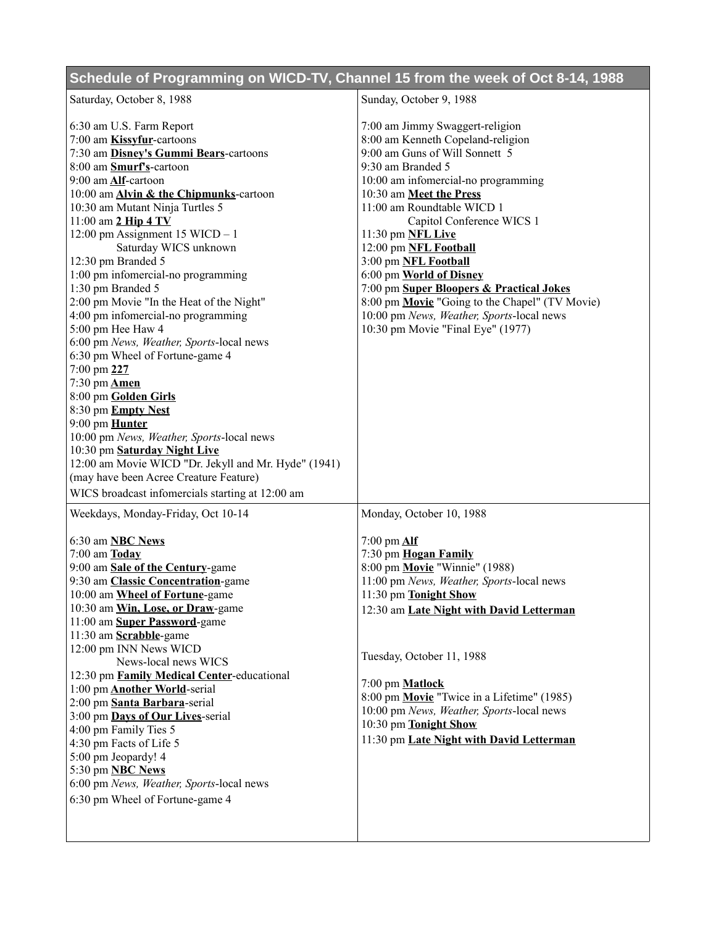## **Schedule of Programming on WICD-TV, Channel 15 from the week of Oct 8-14, 1988**

| Saturday, October 8, 1988                            | Sunday, October 9, 1988                        |
|------------------------------------------------------|------------------------------------------------|
| 6:30 am U.S. Farm Report                             | 7:00 am Jimmy Swaggert-religion                |
| 7:00 am <b>Kissyfur</b> -cartoons                    | 8:00 am Kenneth Copeland-religion              |
| 7:30 am Disney's Gummi Bears-cartoons                | 9:00 am Guns of Will Sonnett 5                 |
| 8:00 am <b>Smurf's</b> -cartoon                      | 9:30 am Branded 5                              |
| 9:00 am Alf-cartoon                                  | 10:00 am infomercial-no programming            |
| 10:00 am <b>Alvin &amp; the Chipmunks</b> -cartoon   | 10:30 am Meet the Press                        |
| 10:30 am Mutant Ninja Turtles 5                      | 11:00 am Roundtable WICD 1                     |
| $11:00$ am $2$ Hip $4$ TV                            | Capitol Conference WICS 1                      |
| 12:00 pm Assignment 15 WICD $-1$                     | 11:30 pm NFL Live                              |
| Saturday WICS unknown                                | 12:00 pm NFL Football                          |
| 12:30 pm Branded 5                                   | 3:00 pm NFL Football                           |
| 1:00 pm infomercial-no programming                   | 6:00 pm World of Disney                        |
| 1:30 pm Branded 5                                    | 7:00 pm Super Bloopers & Practical Jokes       |
| 2:00 pm Movie "In the Heat of the Night"             | 8:00 pm Movie "Going to the Chapel" (TV Movie) |
| 4:00 pm infomercial-no programming                   | 10:00 pm News, Weather, Sports-local news      |
| 5:00 pm Hee Haw 4                                    | 10:30 pm Movie "Final Eye" (1977)              |
| 6:00 pm News, Weather, Sports-local news             |                                                |
| 6:30 pm Wheel of Fortune-game 4                      |                                                |
| 7:00 pm 227                                          |                                                |
| 7:30 pm <b>Amen</b>                                  |                                                |
| 8:00 pm Golden Girls                                 |                                                |
| 8:30 pm Empty Nest                                   |                                                |
| 9:00 pm Hunter                                       |                                                |
| 10:00 pm News, Weather, Sports-local news            |                                                |
| 10:30 pm Saturday Night Live                         |                                                |
| 12:00 am Movie WICD "Dr. Jekyll and Mr. Hyde" (1941) |                                                |
| (may have been Acree Creature Feature)               |                                                |
| WICS broadcast infomercials starting at 12:00 am     |                                                |
| Weekdays, Monday-Friday, Oct 10-14                   | Monday, October 10, 1988                       |
| 6:30 am <b>NBC</b> News                              | 7:00 pm $\Delta$ If                            |
| $7:00$ am $\underline{\textbf{Today}}$               | 7:30 pm Hogan Family                           |
| 9:00 am Sale of the Century-game                     | 8:00 pm Movie "Winnie" (1988)                  |
| 9:30 am Classic Concentration-game                   | 11:00 pm News, Weather, Sports-local news      |
| 10:00 am Wheel of Fortune-game                       | 11:30 pm Tonight Show                          |
| 10:30 am Win, Lose, or Draw-game                     | 12:30 am Late Night with David Letterman       |
| 11:00 am Super Password-game                         |                                                |
| 11:30 am Scrabble-game                               |                                                |
| 12:00 pm INN News WICD                               |                                                |
| News-local news WICS                                 | Tuesday, October 11, 1988                      |
| 12:30 pm Family Medical Center-educational           |                                                |
| 1:00 pm <b>Another World-serial</b>                  | 7:00 pm <b>Matlock</b>                         |
| 2:00 pm Santa Barbara-serial                         | 8:00 pm Movie "Twice in a Lifetime" (1985)     |
| 3:00 pm Days of Our Lives-serial                     | 10:00 pm News, Weather, Sports-local news      |
| 4:00 pm Family Ties 5                                | 10:30 pm Tonight Show                          |
| 4:30 pm Facts of Life 5                              | 11:30 pm Late Night with David Letterman       |
| 5:00 pm Jeopardy! 4                                  |                                                |
| 5:30 pm <b>NBC News</b>                              |                                                |
| 6:00 pm News, Weather, Sports-local news             |                                                |
| 6:30 pm Wheel of Fortune-game 4                      |                                                |
|                                                      |                                                |
|                                                      |                                                |